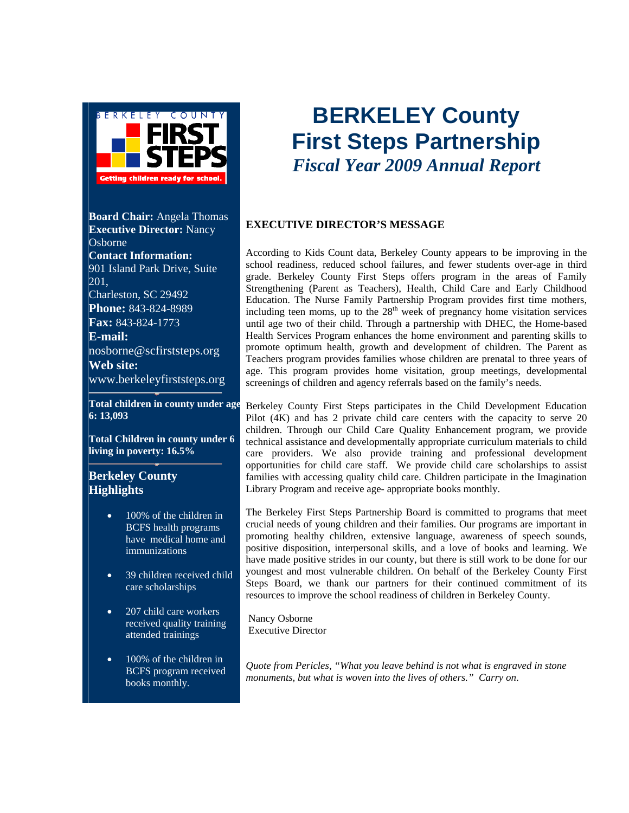

**Board Chair:** Angela Thomas **Executive Director:** Nancy Osborne **Contact Information:**  901 Island Park Drive, Suite 201, Charleston, SC 29492

**Phone:** 843-824-8989 **Fax:** 843-824-1773

**E-mail:**  nosborne@scfirststeps.org **Web site:**  www.berkeleyfirststeps.org

**Total children in county under age 6: 13,093**

**Total Children in county under 6 living in poverty: 16.5%** 

#### **Berkeley County Highlights**

- 100% of the children in BCFS health programs have medical home and immunizations
- 39 children received child care scholarships
- 207 child care workers received quality training attended trainings
- 100% of the children in BCFS program received books monthly.

# **BERKELEY County First Steps Partnership**  *Fiscal Year 2009 Annual Report*

#### **EXECUTIVE DIRECTOR'S MESSAGE**

According to Kids Count data, Berkeley County appears to be improving in the school readiness, reduced school failures, and fewer students over-age in third grade. Berkeley County First Steps offers program in the areas of Family Strengthening (Parent as Teachers), Health, Child Care and Early Childhood Education. The Nurse Family Partnership Program provides first time mothers, including teen moms, up to the  $28<sup>th</sup>$  week of pregnancy home visitation services until age two of their child. Through a partnership with DHEC, the Home-based Health Services Program enhances the home environment and parenting skills to promote optimum health, growth and development of children. The Parent as Teachers program provides families whose children are prenatal to three years of age. This program provides home visitation, group meetings, developmental screenings of children and agency referrals based on the family's needs.

Berkeley County First Steps participates in the Child Development Education Pilot (4K) and has 2 private child care centers with the capacity to serve 20 children. Through our Child Care Quality Enhancement program, we provide technical assistance and developmentally appropriate curriculum materials to child care providers. We also provide training and professional development opportunities for child care staff. We provide child care scholarships to assist families with accessing quality child care. Children participate in the Imagination Library Program and receive age- appropriate books monthly.

The Berkeley First Steps Partnership Board is committed to programs that meet crucial needs of young children and their families. Our programs are important in promoting healthy children, extensive language, awareness of speech sounds, positive disposition, interpersonal skills, and a love of books and learning. We have made positive strides in our county, but there is still work to be done for our youngest and most vulnerable children. On behalf of the Berkeley County First Steps Board, we thank our partners for their continued commitment of its resources to improve the school readiness of children in Berkeley County.

 Nancy Osborne Executive Director

*Quote from Pericles, "What you leave behind is not what is engraved in stone monuments, but what is woven into the lives of others." Carry on*.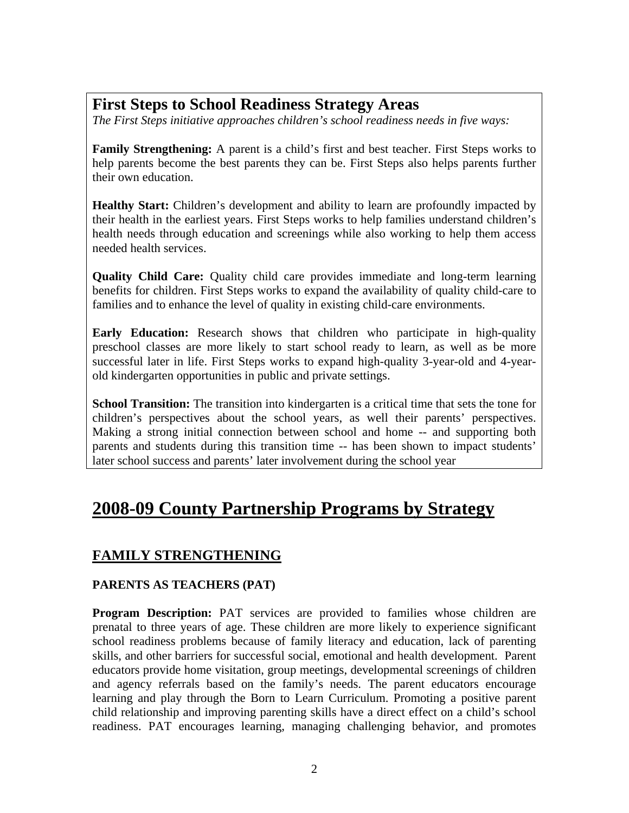## **First Steps to School Readiness Strategy Areas**

*The First Steps initiative approaches children's school readiness needs in five ways:* 

**Family Strengthening:** A parent is a child's first and best teacher. First Steps works to help parents become the best parents they can be. First Steps also helps parents further their own education.

**Healthy Start:** Children's development and ability to learn are profoundly impacted by their health in the earliest years. First Steps works to help families understand children's health needs through education and screenings while also working to help them access needed health services.

**Quality Child Care:** Quality child care provides immediate and long-term learning benefits for children. First Steps works to expand the availability of quality child-care to families and to enhance the level of quality in existing child-care environments.

**Early Education:** Research shows that children who participate in high-quality preschool classes are more likely to start school ready to learn, as well as be more successful later in life. First Steps works to expand high-quality 3-year-old and 4-yearold kindergarten opportunities in public and private settings.

**School Transition:** The transition into kindergarten is a critical time that sets the tone for children's perspectives about the school years, as well their parents' perspectives. Making a strong initial connection between school and home -- and supporting both parents and students during this transition time -- has been shown to impact students' later school success and parents' later involvement during the school year

# **2008-09 County Partnership Programs by Strategy**

## **FAMILY STRENGTHENING**

#### **PARENTS AS TEACHERS (PAT)**

**Program Description:** PAT services are provided to families whose children are prenatal to three years of age. These children are more likely to experience significant school readiness problems because of family literacy and education, lack of parenting skills, and other barriers for successful social, emotional and health development. Parent educators provide home visitation, group meetings, developmental screenings of children and agency referrals based on the family's needs. The parent educators encourage learning and play through the Born to Learn Curriculum. Promoting a positive parent child relationship and improving parenting skills have a direct effect on a child's school readiness. PAT encourages learning, managing challenging behavior, and promotes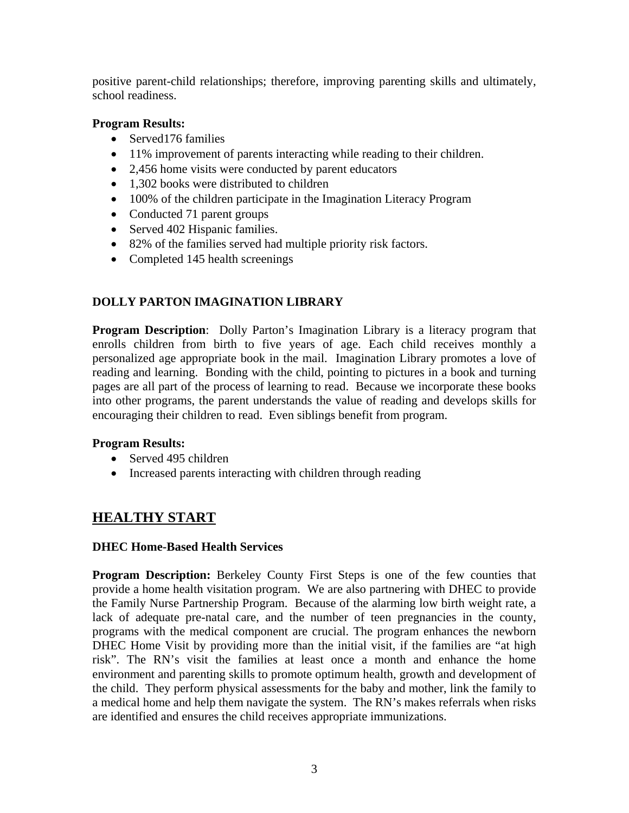positive parent-child relationships; therefore, improving parenting skills and ultimately, school readiness.

#### **Program Results:**

- Served176 families
- 11% improvement of parents interacting while reading to their children.
- 2,456 home visits were conducted by parent educators
- 1,302 books were distributed to children
- 100% of the children participate in the Imagination Literacy Program
- Conducted 71 parent groups
- Served 402 Hispanic families.
- 82% of the families served had multiple priority risk factors.
- Completed 145 health screenings

#### **DOLLY PARTON IMAGINATION LIBRARY**

**Program Description**: Dolly Parton's Imagination Library is a literacy program that enrolls children from birth to five years of age. Each child receives monthly a personalized age appropriate book in the mail. Imagination Library promotes a love of reading and learning. Bonding with the child, pointing to pictures in a book and turning pages are all part of the process of learning to read. Because we incorporate these books into other programs, the parent understands the value of reading and develops skills for encouraging their children to read. Even siblings benefit from program.

#### **Program Results:**

- Served 495 children
- Increased parents interacting with children through reading

## **HEALTHY START**

#### **DHEC Home-Based Health Services**

**Program Description:** Berkeley County First Steps is one of the few counties that provide a home health visitation program. We are also partnering with DHEC to provide the Family Nurse Partnership Program. Because of the alarming low birth weight rate, a lack of adequate pre-natal care, and the number of teen pregnancies in the county, programs with the medical component are crucial. The program enhances the newborn DHEC Home Visit by providing more than the initial visit, if the families are "at high risk". The RN's visit the families at least once a month and enhance the home environment and parenting skills to promote optimum health, growth and development of the child. They perform physical assessments for the baby and mother, link the family to a medical home and help them navigate the system. The RN's makes referrals when risks are identified and ensures the child receives appropriate immunizations.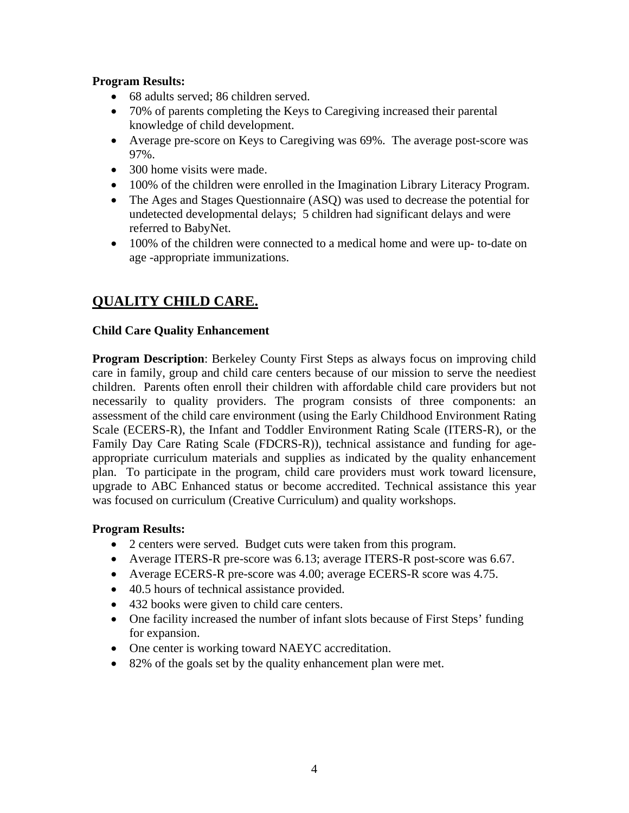#### **Program Results:**

- 68 adults served; 86 children served.
- 70% of parents completing the Keys to Caregiving increased their parental knowledge of child development.
- Average pre-score on Keys to Caregiving was 69%. The average post-score was 97%.
- 300 home visits were made.
- 100% of the children were enrolled in the Imagination Library Literacy Program.
- The Ages and Stages Questionnaire (ASQ) was used to decrease the potential for undetected developmental delays; 5 children had significant delays and were referred to BabyNet.
- 100% of the children were connected to a medical home and were up- to-date on age -appropriate immunizations.

### **QUALITY CHILD CARE.**

#### **Child Care Quality Enhancement**

**Program Description**: Berkeley County First Steps as always focus on improving child care in family, group and child care centers because of our mission to serve the neediest children. Parents often enroll their children with affordable child care providers but not necessarily to quality providers. The program consists of three components: an assessment of the child care environment (using the Early Childhood Environment Rating Scale (ECERS-R), the Infant and Toddler Environment Rating Scale (ITERS-R), or the Family Day Care Rating Scale (FDCRS-R)), technical assistance and funding for ageappropriate curriculum materials and supplies as indicated by the quality enhancement plan. To participate in the program, child care providers must work toward licensure, upgrade to ABC Enhanced status or become accredited. Technical assistance this year was focused on curriculum (Creative Curriculum) and quality workshops.

#### **Program Results:**

- 2 centers were served. Budget cuts were taken from this program.
- Average ITERS-R pre-score was 6.13; average ITERS-R post-score was 6.67.
- Average ECERS-R pre-score was 4.00; average ECERS-R score was 4.75.
- 40.5 hours of technical assistance provided.
- 432 books were given to child care centers.
- One facility increased the number of infant slots because of First Steps' funding for expansion.
- One center is working toward NAEYC accreditation.
- 82% of the goals set by the quality enhancement plan were met.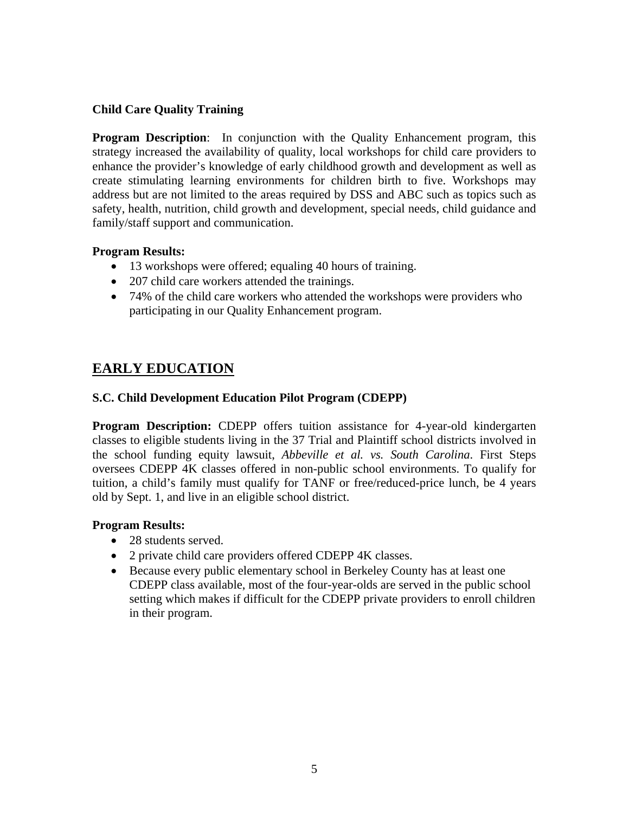#### **Child Care Quality Training**

**Program Description**: In conjunction with the Quality Enhancement program, this strategy increased the availability of quality, local workshops for child care providers to enhance the provider's knowledge of early childhood growth and development as well as create stimulating learning environments for children birth to five. Workshops may address but are not limited to the areas required by DSS and ABC such as topics such as safety, health, nutrition, child growth and development, special needs, child guidance and family/staff support and communication.

#### **Program Results:**

- 13 workshops were offered; equaling 40 hours of training.
- 207 child care workers attended the trainings.
- 74% of the child care workers who attended the workshops were providers who participating in our Quality Enhancement program.

## **EARLY EDUCATION**

#### **S.C. Child Development Education Pilot Program (CDEPP)**

**Program Description:** CDEPP offers tuition assistance for 4-year-old kindergarten classes to eligible students living in the 37 Trial and Plaintiff school districts involved in the school funding equity lawsuit, *Abbeville et al. vs. South Carolina*. First Steps oversees CDEPP 4K classes offered in non-public school environments. To qualify for tuition, a child's family must qualify for TANF or free/reduced-price lunch, be 4 years old by Sept. 1, and live in an eligible school district.

#### **Program Results:**

- 28 students served.
- 2 private child care providers offered CDEPP 4K classes.
- Because every public elementary school in Berkeley County has at least one CDEPP class available, most of the four-year-olds are served in the public school setting which makes if difficult for the CDEPP private providers to enroll children in their program.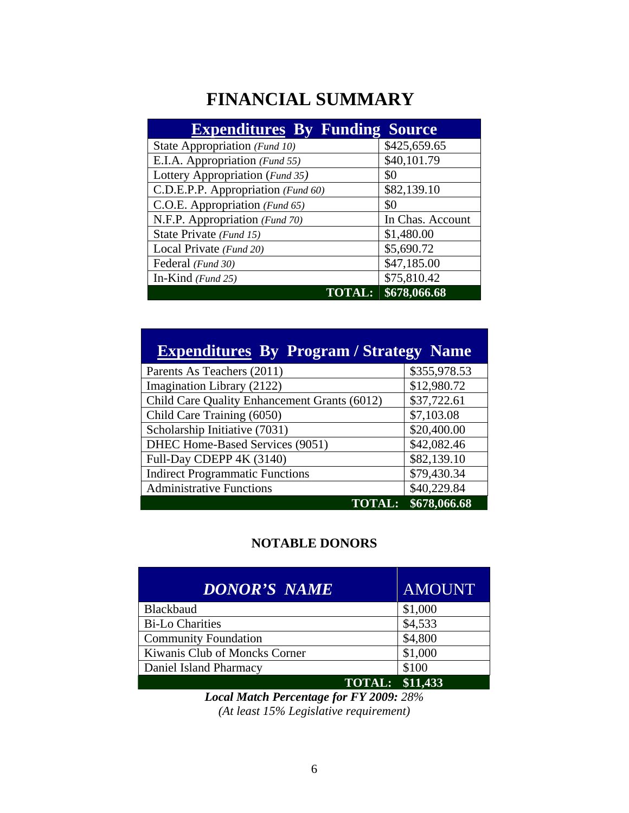# **FINANCIAL SUMMARY**

| <b>Expenditures By Funding Source</b> |                  |
|---------------------------------------|------------------|
| State Appropriation (Fund 10)         | \$425,659.65     |
| E.I.A. Appropriation (Fund 55)        | \$40,101.79      |
| Lottery Appropriation (Fund 35)       | \$0              |
| C.D.E.P.P. Appropriation (Fund 60)    | \$82,139.10      |
| C.O.E. Appropriation (Fund 65)        | \$0              |
| N.F.P. Appropriation (Fund 70)        | In Chas. Account |
| State Private (Fund 15)               | \$1,480.00       |
| Local Private (Fund 20)               | \$5,690.72       |
| Federal (Fund 30)                     | \$47,185.00      |
| In-Kind $(Fund 25)$                   | \$75,810.42      |
| <b>TOTAL:</b>                         | \$678,066.68     |

| <b>Expenditures By Program / Strategy Name</b> |              |
|------------------------------------------------|--------------|
| Parents As Teachers (2011)                     | \$355,978.53 |
| Imagination Library (2122)                     | \$12,980.72  |
| Child Care Quality Enhancement Grants (6012)   | \$37,722.61  |
| Child Care Training (6050)                     | \$7,103.08   |
| Scholarship Initiative (7031)                  | \$20,400.00  |
| DHEC Home-Based Services (9051)                | \$42,082.46  |
| Full-Day CDEPP 4K (3140)                       | \$82,139.10  |
| <b>Indirect Programmatic Functions</b>         | \$79,430.34  |
| <b>Administrative Functions</b>                | \$40,229.84  |
| <b>TOTAL:</b>                                  | \$678,066.68 |

### **NOTABLE DONORS**

| <b>DONOR'S NAME</b>           | <b>AMOUNT</b> |
|-------------------------------|---------------|
| <b>Blackbaud</b>              | \$1,000       |
| <b>Bi-Lo Charities</b>        | \$4,533       |
| <b>Community Foundation</b>   | \$4,800       |
| Kiwanis Club of Moncks Corner | \$1,000       |
| Daniel Island Pharmacy        | \$100         |
| <b>TOTAL: \$11,433</b>        |               |

*Local Match Percentage for FY 2009: 28% (At least 15% Legislative requirement)*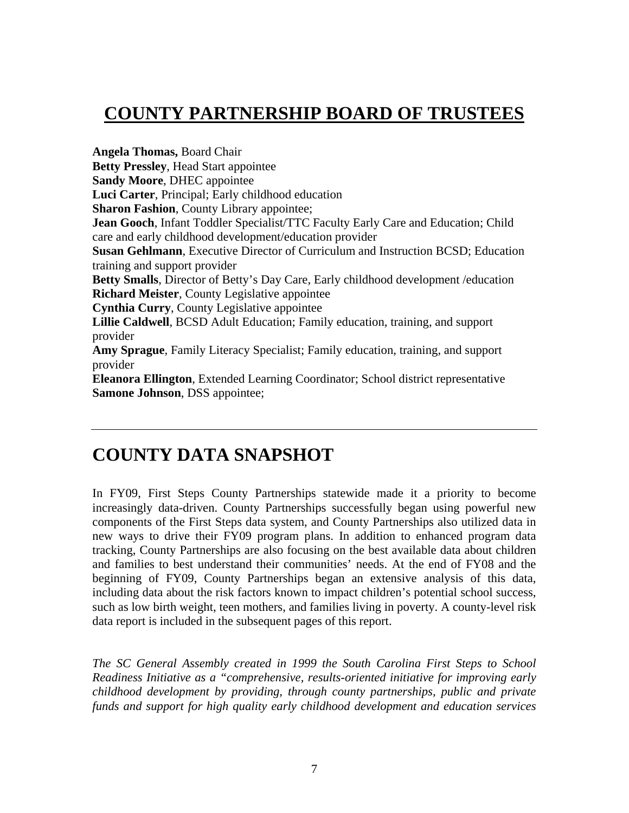# **COUNTY PARTNERSHIP BOARD OF TRUSTEES**

**Angela Thomas,** Board Chair **Betty Pressley**, Head Start appointee **Sandy Moore**, DHEC appointee **Luci Carter**, Principal; Early childhood education **Sharon Fashion**, County Library appointee; **Jean Gooch**, Infant Toddler Specialist/TTC Faculty Early Care and Education; Child care and early childhood development/education provider **Susan Gehlmann**, Executive Director of Curriculum and Instruction BCSD; Education training and support provider **Betty Smalls**, Director of Betty's Day Care, Early childhood development /education **Richard Meister**, County Legislative appointee **Cynthia Curry**, County Legislative appointee **Lillie Caldwell**, BCSD Adult Education; Family education, training, and support provider **Amy Sprague**, Family Literacy Specialist; Family education, training, and support provider **Eleanora Ellington**, Extended Learning Coordinator; School district representative **Samone Johnson**, DSS appointee;

# **COUNTY DATA SNAPSHOT**

In FY09, First Steps County Partnerships statewide made it a priority to become increasingly data-driven. County Partnerships successfully began using powerful new components of the First Steps data system, and County Partnerships also utilized data in new ways to drive their FY09 program plans. In addition to enhanced program data tracking, County Partnerships are also focusing on the best available data about children and families to best understand their communities' needs. At the end of FY08 and the beginning of FY09, County Partnerships began an extensive analysis of this data, including data about the risk factors known to impact children's potential school success, such as low birth weight, teen mothers, and families living in poverty. A county-level risk data report is included in the subsequent pages of this report.

*The SC General Assembly created in 1999 the South Carolina First Steps to School Readiness Initiative as a "comprehensive, results-oriented initiative for improving early childhood development by providing, through county partnerships, public and private funds and support for high quality early childhood development and education services*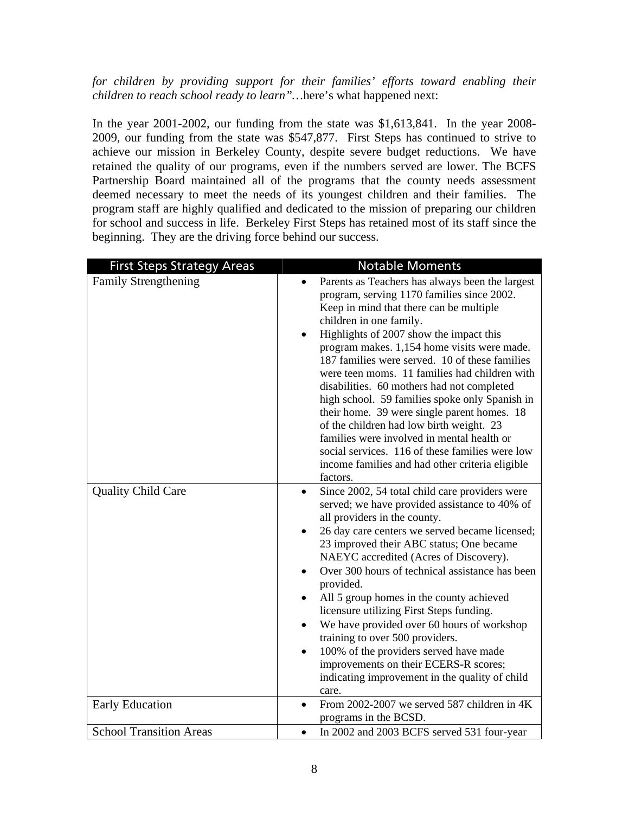for children by providing support for their families' efforts toward enabling their *children to reach school ready to learn"…*here's what happened next:

In the year 2001-2002, our funding from the state was \$1,613,841. In the year 2008- 2009, our funding from the state was \$547,877. First Steps has continued to strive to achieve our mission in Berkeley County, despite severe budget reductions. We have retained the quality of our programs, even if the numbers served are lower. The BCFS Partnership Board maintained all of the programs that the county needs assessment deemed necessary to meet the needs of its youngest children and their families. The program staff are highly qualified and dedicated to the mission of preparing our children for school and success in life. Berkeley First Steps has retained most of its staff since the beginning. They are the driving force behind our success.

| <b>First Steps Strategy Areas</b> | <b>Notable Moments</b>                                                                                                                                                                                                                                                                                                                                                                                                                                                                                                                                                                                                                                                                                                      |
|-----------------------------------|-----------------------------------------------------------------------------------------------------------------------------------------------------------------------------------------------------------------------------------------------------------------------------------------------------------------------------------------------------------------------------------------------------------------------------------------------------------------------------------------------------------------------------------------------------------------------------------------------------------------------------------------------------------------------------------------------------------------------------|
| <b>Family Strengthening</b>       | Parents as Teachers has always been the largest<br>program, serving 1170 families since 2002.<br>Keep in mind that there can be multiple<br>children in one family.<br>Highlights of 2007 show the impact this<br>program makes. 1,154 home visits were made.<br>187 families were served. 10 of these families<br>were teen moms. 11 families had children with<br>disabilities. 60 mothers had not completed<br>high school. 59 families spoke only Spanish in<br>their home. 39 were single parent homes. 18<br>of the children had low birth weight. 23<br>families were involved in mental health or<br>social services. 116 of these families were low<br>income families and had other criteria eligible<br>factors. |
| <b>Quality Child Care</b>         | Since 2002, 54 total child care providers were<br>served; we have provided assistance to 40% of<br>all providers in the county.<br>26 day care centers we served became licensed;<br>23 improved their ABC status; One became<br>NAEYC accredited (Acres of Discovery).<br>Over 300 hours of technical assistance has been<br>provided.<br>All 5 group homes in the county achieved<br>licensure utilizing First Steps funding.<br>We have provided over 60 hours of workshop<br>training to over 500 providers.<br>100% of the providers served have made<br>improvements on their ECERS-R scores;<br>indicating improvement in the quality of child<br>care.                                                              |
| <b>Early Education</b>            | From 2002-2007 we served 587 children in 4K                                                                                                                                                                                                                                                                                                                                                                                                                                                                                                                                                                                                                                                                                 |
| <b>School Transition Areas</b>    | programs in the BCSD.<br>In 2002 and 2003 BCFS served 531 four-year                                                                                                                                                                                                                                                                                                                                                                                                                                                                                                                                                                                                                                                         |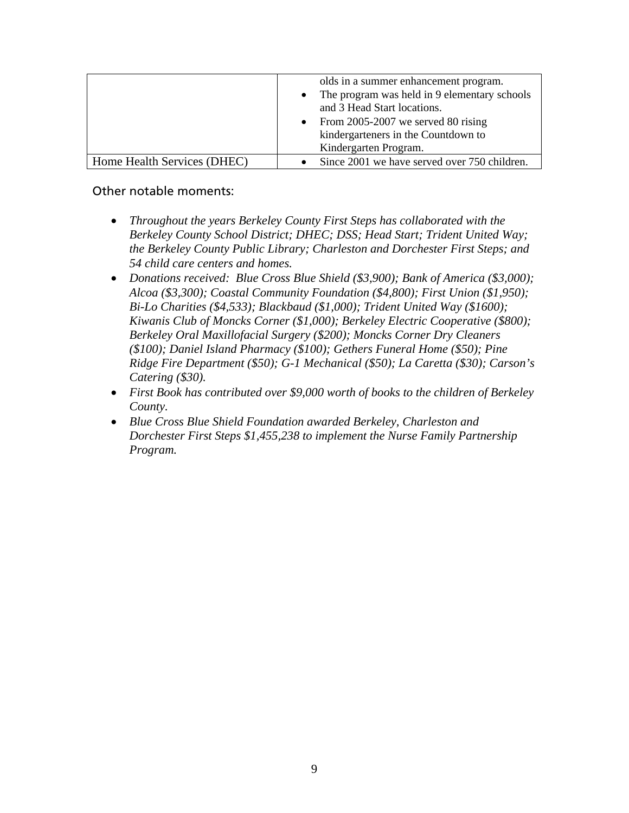|                             | olds in a summer enhancement program.<br>• The program was held in 9 elementary schools<br>and 3 Head Start locations.<br>• From 2005-2007 we served 80 rising<br>kindergarteners in the Countdown to<br>Kindergarten Program. |
|-----------------------------|--------------------------------------------------------------------------------------------------------------------------------------------------------------------------------------------------------------------------------|
| Home Health Services (DHEC) | Since 2001 we have served over 750 children.                                                                                                                                                                                   |

#### Other notable moments:

- *Throughout the years Berkeley County First Steps has collaborated with the Berkeley County School District; DHEC; DSS; Head Start; Trident United Way; the Berkeley County Public Library; Charleston and Dorchester First Steps; and 54 child care centers and homes.*
- *Donations received: Blue Cross Blue Shield (\$3,900); Bank of America (\$3,000); Alcoa (\$3,300); Coastal Community Foundation (\$4,800); First Union (\$1,950); Bi-Lo Charities (\$4,533); Blackbaud (\$1,000); Trident United Way (\$1600); Kiwanis Club of Moncks Corner (\$1,000); Berkeley Electric Cooperative (\$800); Berkeley Oral Maxillofacial Surgery (\$200); Moncks Corner Dry Cleaners (\$100); Daniel Island Pharmacy (\$100); Gethers Funeral Home (\$50); Pine Ridge Fire Department (\$50); G-1 Mechanical (\$50); La Caretta (\$30); Carson's Catering (\$30).*
- *First Book has contributed over \$9,000 worth of books to the children of Berkeley County.*
- *Blue Cross Blue Shield Foundation awarded Berkeley, Charleston and Dorchester First Steps \$1,455,238 to implement the Nurse Family Partnership Program.*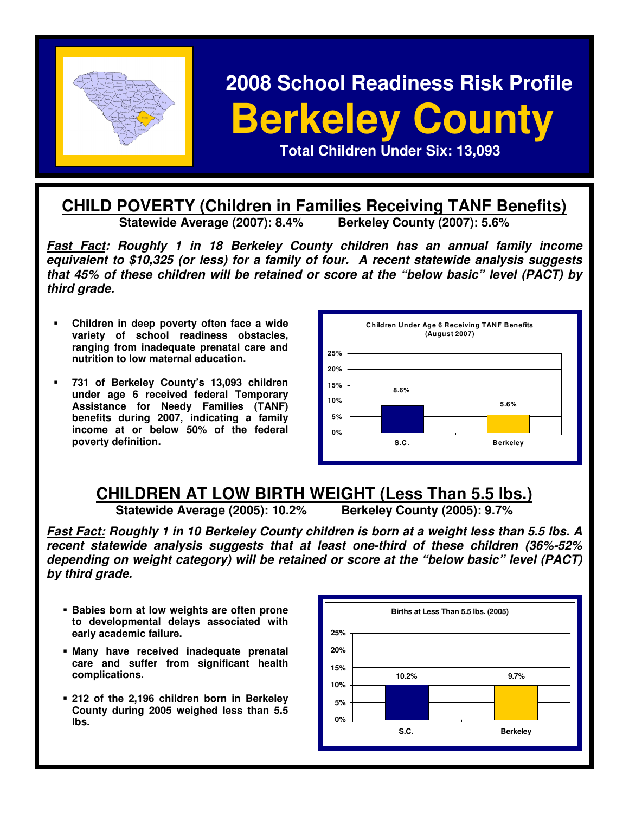

# **2008 School Readiness Risk Profile Berkeley County Total Children Under Six: 13,093**

### **CHILD POVERTY (Children in Families Receiving TANF Benefits)**<br>Statewide Average (2007): 8.4% Berkeley County (2007): 5.6% **Statewide Average (2007): 8.4%**

**Fast Fact: Roughly 1 in 18 Berkeley County children has an annual family income equivalent to \$10,325 (or less) for a family of four. A recent statewide analysis suggests that 45% of these children will be retained or score at the "below basic" level (PACT) by third grade.** 

- **Children in deep poverty often face a wide variety of school readiness obstacles, ranging from inadequate prenatal care and nutrition to low maternal education.**
- **731 of Berkeley County's 13,093 children under age 6 received federal Temporary Assistance for Needy Families (TANF) benefits during 2007, indicating a family income at or below 50% of the federal poverty definition.**



# **CHILDREN AT LOW BIRTH WEIGHT (Less Than 5.5 lbs.)**<br>Statewide Average (2005): 10.2% Berkeley County (2005): 9.7%

**Statewide Average (2005): 10.2%** 

**Fast Fact: Roughly 1 in 10 Berkeley County children is born at a weight less than 5.5 lbs. A recent statewide analysis suggests that at least one-third of these children (36%-52% depending on weight category) will be retained or score at the "below basic" level (PACT) by third grade.** 

- **Babies born at low weights are often prone to developmental delays associated with early academic failure.**
- **Many have received inadequate prenatal care and suffer from significant health complications.**
- **212 of the 2,196 children born in Berkeley County during 2005 weighed less than 5.5 lbs.**